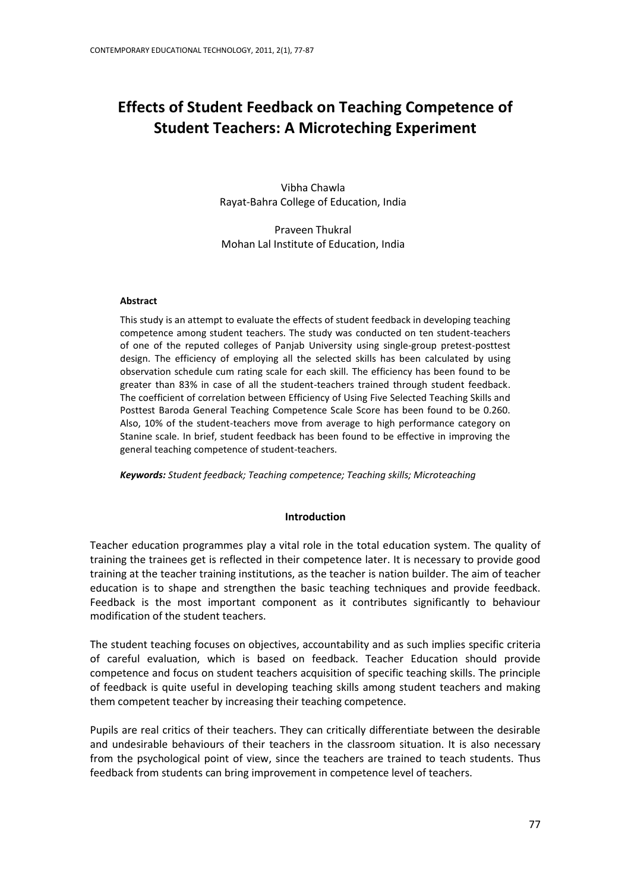# **Effects of Student Feedback on Teaching Competence of Student Teachers: A Microteching Experiment**

Vibha Chawla Rayat-Bahra College of Education, India

Praveen Thukral Mohan Lal Institute of Education, India

# **Abstract**

This study is an attempt to evaluate the effects of student feedback in developing teaching competence among student teachers. The study was conducted on ten student-teachers of one of the reputed colleges of Panjab University using single-group pretest-posttest design. The efficiency of employing all the selected skills has been calculated by using observation schedule cum rating scale for each skill. The efficiency has been found to be greater than 83% in case of all the student-teachers trained through student feedback. The coefficient of correlation between Efficiency of Using Five Selected Teaching Skills and Posttest Baroda General Teaching Competence Scale Score has been found to be 0.260. Also, 10% of the student-teachers move from average to high performance category on Stanine scale. In brief, student feedback has been found to be effective in improving the general teaching competence of student-teachers.

*Keywords: Student feedback; Teaching competence; Teaching skills; Microteaching*

# **Introduction**

Teacher education programmes play a vital role in the total education system. The quality of training the trainees get is reflected in their competence later. It is necessary to provide good training at the teacher training institutions, as the teacher is nation builder. The aim of teacher education is to shape and strengthen the basic teaching techniques and provide feedback. Feedback is the most important component as it contributes significantly to behaviour modification of the student teachers.

The student teaching focuses on objectives, accountability and as such implies specific criteria of careful evaluation, which is based on feedback. Teacher Education should provide competence and focus on student teachers acquisition of specific teaching skills. The principle of feedback is quite useful in developing teaching skills among student teachers and making them competent teacher by increasing their teaching competence.

Pupils are real critics of their teachers. They can critically differentiate between the desirable and undesirable behaviours of their teachers in the classroom situation. It is also necessary from the psychological point of view, since the teachers are trained to teach students. Thus feedback from students can bring improvement in competence level of teachers.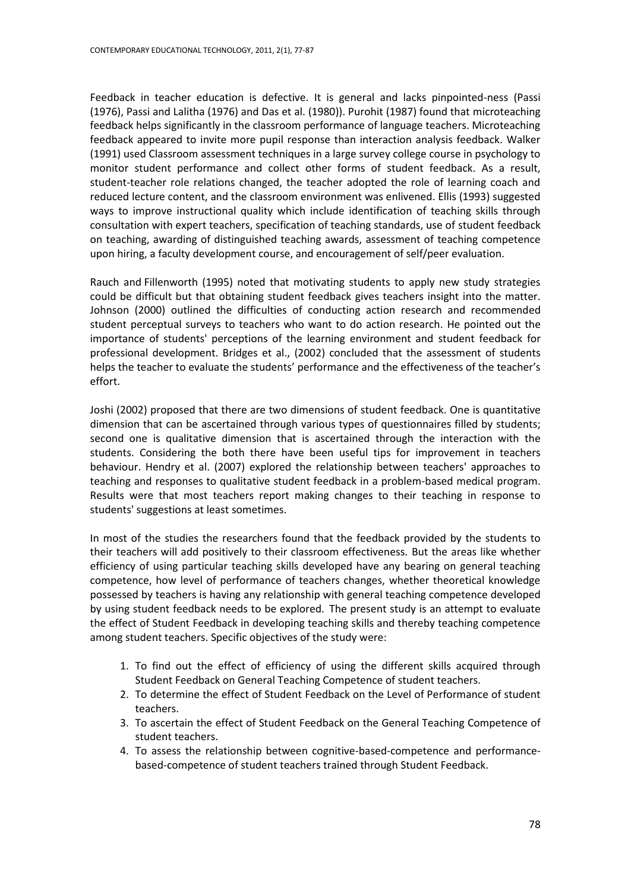Feedback in teacher education is defective. It is general and lacks pinpointed-ness (Passi (1976), Passi and Lalitha (1976) and Das et al. (1980)). Purohit (1987) found that microteaching feedback helps significantly in the classroom performance of language teachers. Microteaching feedback appeared to invite more pupil response than interaction analysis feedback. Walker (1991) used Classroom assessment techniques in a large survey college course in psychology to monitor student performance and collect other forms of student feedback. As a result, student-teacher role relations changed, the teacher adopted the role of learning coach and reduced lecture content, and the classroom environment was enlivened. Ellis (1993) suggested ways to improve instructional quality which include identification of teaching skills through consultation with expert teachers, specification of teaching standards, use of student feedback on teaching, awarding of distinguished teaching awards, assessment of teaching competence upon hiring, a faculty development course, and encouragement of self/peer evaluation.

Rauch and Fillenworth (1995) noted that motivating students to apply new study strategies could be difficult but that obtaining student feedback gives teachers insight into the matter. Johnson (2000) outlined the difficulties of conducting action research and recommended student perceptual surveys to teachers who want to do action research. He pointed out the importance of students' perceptions of the learning environment and student feedback for professional development. [Bridges et al.,](http://209.85.175.104/search?q=cache:hzXVhty-rMMJ:www.aishe.org/readings/2007-1/aishe-readings-2007-1.pdf+Journal+Articles+on+Role+of+%22Peer+Feedback%22+in+developing+teaching+competence+through+Micro-teaching&hl=en&ct=clnk&cd=27&gl=in#34 ) (2002) concluded that the assessment of students helps the teacher to evaluate the students' performance and the effectiveness of the teacher's effort.

Joshi (2002) proposed that there are two dimensions of student feedback. One is quantitative dimension that can be ascertained through various types of questionnaires filled by students; second one is qualitative dimension that is ascertained through the interaction with the students. Considering the both there have been useful tips for improvement in teachers behaviour. Hendry et al. (2007) explored the relationship between teachers' approaches to teaching and responses to qualitative student feedback in a problem-based medical program. Results were that most teachers report making changes to their teaching in response to students' suggestions at least sometimes.

In most of the studies the researchers found that the feedback provided by the students to their teachers will add positively to their classroom effectiveness. But the areas like whether efficiency of using particular teaching skills developed have any bearing on general teaching competence, how level of performance of teachers changes, whether theoretical knowledge possessed by teachers is having any relationship with general teaching competence developed by using student feedback needs to be explored. The present study is an attempt to evaluate the effect of Student Feedback in developing teaching skills and thereby teaching competence among student teachers. Specific objectives of the study were:

- 1. To find out the effect of efficiency of using the different skills acquired through Student Feedback on General Teaching Competence of student teachers.
- 2. To determine the effect of Student Feedback on the Level of Performance of student teachers.
- 3. To ascertain the effect of Student Feedback on the General Teaching Competence of student teachers.
- 4. To assess the relationship between cognitive-based-competence and performancebased-competence of student teachers trained through Student Feedback.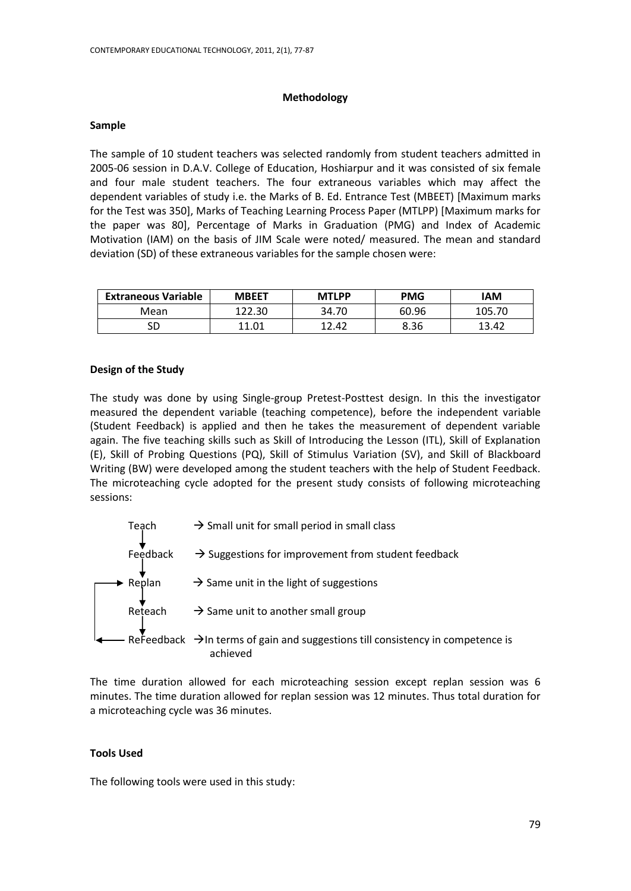# **Methodology**

#### **Sample**

The sample of 10 student teachers was selected randomly from student teachers admitted in 2005-06 session in D.A.V. College of Education, Hoshiarpur and it was consisted of six female and four male student teachers. The four extraneous variables which may affect the dependent variables of study i.e. the Marks of B. Ed. Entrance Test (MBEET) [Maximum marks for the Test was 350], Marks of Teaching Learning Process Paper (MTLPP) [Maximum marks for the paper was 80], Percentage of Marks in Graduation (PMG) and Index of Academic Motivation (IAM) on the basis of JIM Scale were noted/ measured. The mean and standard deviation (SD) of these extraneous variables for the sample chosen were:

| <b>Extraneous Variable</b> | <b>MBEET</b> | <b>MTLPP</b> | <b>PMG</b> | <b>IAM</b> |
|----------------------------|--------------|--------------|------------|------------|
| Mean                       | 122.30       | 34.70        | 60.96      | 105.70     |
| SD                         | 11.01        | 12.42        | 8.36       | 13.42      |

#### **Design of the Study**

The study was done by using Single-group Pretest-Posttest design. In this the investigator measured the dependent variable (teaching competence), before the independent variable (Student Feedback) is applied and then he takes the measurement of dependent variable again. The five teaching skills such as Skill of Introducing the Lesson (ITL), Skill of Explanation (E), Skill of Probing Questions (PQ), Skill of Stimulus Variation (SV), and Skill of Blackboard Writing (BW) were developed among the student teachers with the help of Student Feedback. The microteaching cycle adopted for the present study consists of following microteaching sessions:



The time duration allowed for each microteaching session except replan session was 6 minutes. The time duration allowed for replan session was 12 minutes. Thus total duration for a microteaching cycle was 36 minutes.

# **Tools Used**

The following tools were used in this study: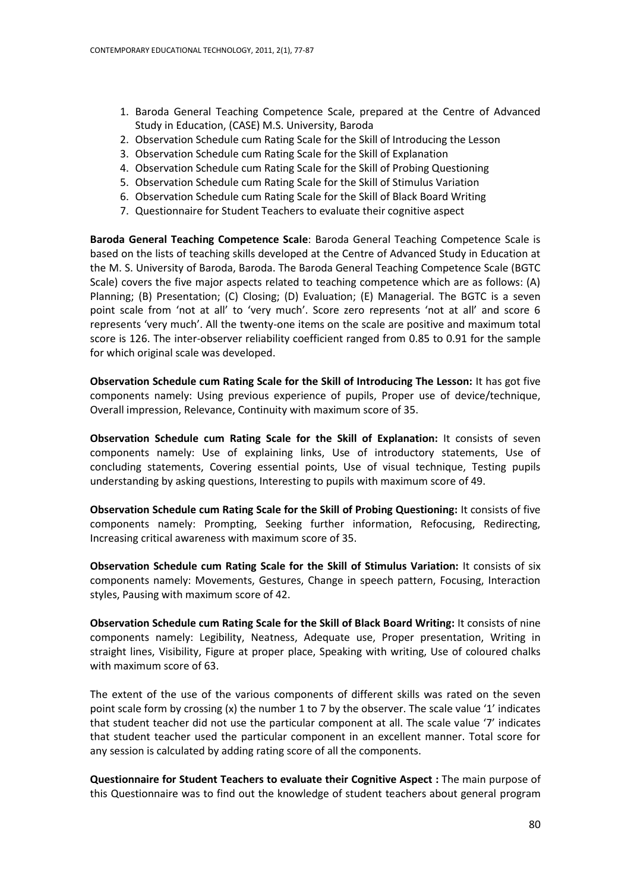- 1. Baroda General Teaching Competence Scale, prepared at the Centre of Advanced Study in Education, (CASE) M.S. University, Baroda
- 2. Observation Schedule cum Rating Scale for the Skill of Introducing the Lesson
- 3. Observation Schedule cum Rating Scale for the Skill of Explanation
- 4. Observation Schedule cum Rating Scale for the Skill of Probing Questioning
- 5. Observation Schedule cum Rating Scale for the Skill of Stimulus Variation
- 6. Observation Schedule cum Rating Scale for the Skill of Black Board Writing
- 7. Questionnaire for Student Teachers to evaluate their cognitive aspect

**Baroda General Teaching Competence Scale**: Baroda General Teaching Competence Scale is based on the lists of teaching skills developed at the Centre of Advanced Study in Education at the M. S. University of Baroda, Baroda. The Baroda General Teaching Competence Scale (BGTC Scale) covers the five major aspects related to teaching competence which are as follows: (A) Planning; (B) Presentation; (C) Closing; (D) Evaluation; (E) Managerial. The BGTC is a seven point scale from 'not at all' to 'very much'. Score zero represents 'not at all' and score 6 represents 'very much'. All the twenty-one items on the scale are positive and maximum total score is 126. The inter-observer reliability coefficient ranged from 0.85 to 0.91 for the sample for which original scale was developed.

**Observation Schedule cum Rating Scale for the Skill of Introducing The Lesson:** It has got five components namely: Using previous experience of pupils, Proper use of device/technique, Overall impression, Relevance, Continuity with maximum score of 35.

**Observation Schedule cum Rating Scale for the Skill of Explanation:** It consists of seven components namely: Use of explaining links, Use of introductory statements, Use of concluding statements, Covering essential points, Use of visual technique, Testing pupils understanding by asking questions, Interesting to pupils with maximum score of 49.

**Observation Schedule cum Rating Scale for the Skill of Probing Questioning:** It consists of five components namely: Prompting, Seeking further information, Refocusing, Redirecting, Increasing critical awareness with maximum score of 35.

**Observation Schedule cum Rating Scale for the Skill of Stimulus Variation:** It consists of six components namely: Movements, Gestures, Change in speech pattern, Focusing, Interaction styles, Pausing with maximum score of 42.

**Observation Schedule cum Rating Scale for the Skill of Black Board Writing:** It consists of nine components namely: Legibility, Neatness, Adequate use, Proper presentation, Writing in straight lines, Visibility, Figure at proper place, Speaking with writing, Use of coloured chalks with maximum score of 63.

The extent of the use of the various components of different skills was rated on the seven point scale form by crossing (x) the number 1 to 7 by the observer. The scale value '1' indicates that student teacher did not use the particular component at all. The scale value '7' indicates that student teacher used the particular component in an excellent manner. Total score for any session is calculated by adding rating score of all the components.

**Questionnaire for Student Teachers to evaluate their Cognitive Aspect :** The main purpose of this Questionnaire was to find out the knowledge of student teachers about general program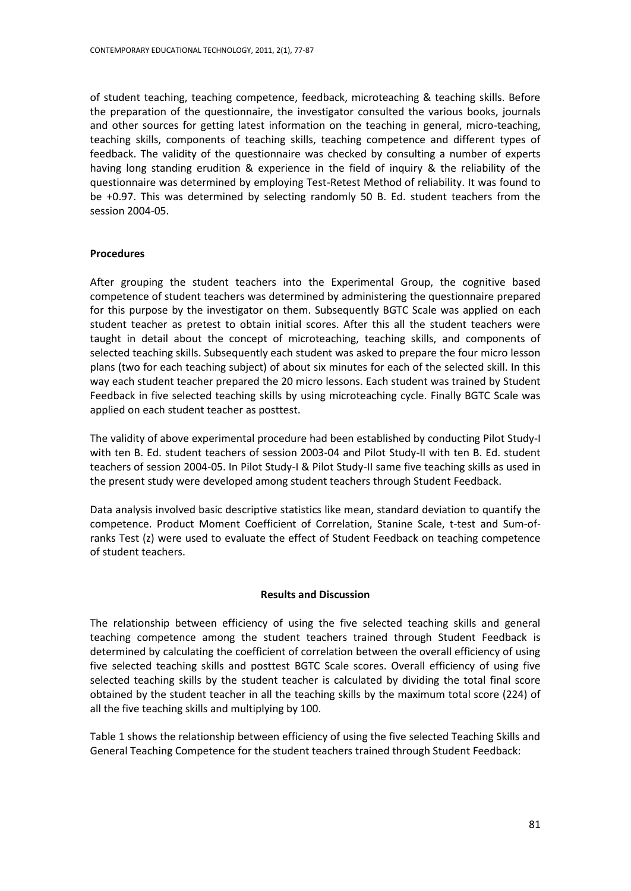of student teaching, teaching competence, feedback, microteaching & teaching skills. Before the preparation of the questionnaire, the investigator consulted the various books, journals and other sources for getting latest information on the teaching in general, micro-teaching, teaching skills, components of teaching skills, teaching competence and different types of feedback. The validity of the questionnaire was checked by consulting a number of experts having long standing erudition & experience in the field of inquiry & the reliability of the questionnaire was determined by employing Test-Retest Method of reliability. It was found to be +0.97. This was determined by selecting randomly 50 B. Ed. student teachers from the session 2004-05.

# **Procedures**

After grouping the student teachers into the Experimental Group, the cognitive based competence of student teachers was determined by administering the questionnaire prepared for this purpose by the investigator on them. Subsequently BGTC Scale was applied on each student teacher as pretest to obtain initial scores. After this all the student teachers were taught in detail about the concept of microteaching, teaching skills, and components of selected teaching skills. Subsequently each student was asked to prepare the four micro lesson plans (two for each teaching subject) of about six minutes for each of the selected skill. In this way each student teacher prepared the 20 micro lessons. Each student was trained by Student Feedback in five selected teaching skills by using microteaching cycle. Finally BGTC Scale was applied on each student teacher as posttest.

The validity of above experimental procedure had been established by conducting Pilot Study-I with ten B. Ed. student teachers of session 2003-04 and Pilot Study-II with ten B. Ed. student teachers of session 2004-05. In Pilot Study-I & Pilot Study-II same five teaching skills as used in the present study were developed among student teachers through Student Feedback.

Data analysis involved basic descriptive statistics like mean, standard deviation to quantify the competence. Product Moment Coefficient of Correlation, Stanine Scale, t-test and Sum-ofranks Test (z) were used to evaluate the effect of Student Feedback on teaching competence of student teachers.

# **Results and Discussion**

The relationship between efficiency of using the five selected teaching skills and general teaching competence among the student teachers trained through Student Feedback is determined by calculating the coefficient of correlation between the overall efficiency of using five selected teaching skills and posttest BGTC Scale scores. Overall efficiency of using five selected teaching skills by the student teacher is calculated by dividing the total final score obtained by the student teacher in all the teaching skills by the maximum total score (224) of all the five teaching skills and multiplying by 100.

Table 1 shows the relationship between efficiency of using the five selected Teaching Skills and General Teaching Competence for the student teachers trained through Student Feedback: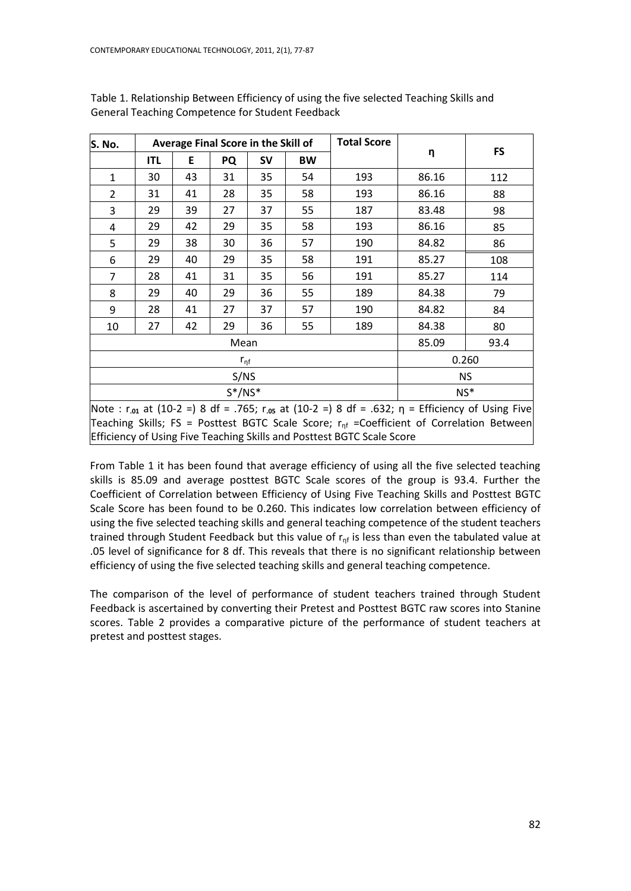| S. No.         |                                                                                                                                            |       | Average Final Score in the Skill of |           |           | <b>Total Score</b> |       |           |  |  |
|----------------|--------------------------------------------------------------------------------------------------------------------------------------------|-------|-------------------------------------|-----------|-----------|--------------------|-------|-----------|--|--|
|                | <b>ITL</b>                                                                                                                                 | E     | PQ                                  | <b>SV</b> | <b>BW</b> |                    | η     | <b>FS</b> |  |  |
| $\mathbf{1}$   | 30                                                                                                                                         | 43    | 31                                  | 35        | 54        | 193                | 86.16 | 112       |  |  |
| $\overline{2}$ | 31                                                                                                                                         | 41    | 28                                  | 35        | 58        | 193                | 86.16 | 88        |  |  |
| 3              | 29                                                                                                                                         | 39    | 27                                  | 37        | 55        | 187                | 83.48 | 98        |  |  |
| 4              | 29                                                                                                                                         | 42    | 29                                  | 35        | 58        | 193                | 86.16 | 85        |  |  |
| 5              | 29                                                                                                                                         | 38    | 30                                  | 36        | 57        | 190                | 84.82 | 86        |  |  |
| 6              | 29                                                                                                                                         | 40    | 29                                  | 35        | 58        | 191                | 85.27 | 108       |  |  |
| 7              | 28                                                                                                                                         | 41    | 31                                  | 35        | 56        | 191                | 85.27 | 114       |  |  |
| 8              | 29                                                                                                                                         | 40    | 29                                  | 36        | 55        | 189                | 84.38 | 79        |  |  |
| 9              | 28                                                                                                                                         | 41    | 27                                  | 37        | 57        | 190                | 84.82 | 84        |  |  |
| 10             | 27                                                                                                                                         | 42    | 29                                  | 36        | 55        | 189                | 84.38 | 80        |  |  |
|                |                                                                                                                                            |       | Mean                                |           |           |                    | 85.09 | 93.4      |  |  |
|                |                                                                                                                                            | 0.260 |                                     |           |           |                    |       |           |  |  |
|                |                                                                                                                                            |       |                                     |           | NS.       |                    |       |           |  |  |
|                |                                                                                                                                            |       | $NS*$                               |           |           |                    |       |           |  |  |
|                | $S^*/NS^*$<br>Note : r <sub>.01</sub> at (10-2 =) 8 df = .765; r <sub>.05</sub> at (10-2 =) 8 df = .632; $\eta$ = Efficiency of Using Five |       |                                     |           |           |                    |       |           |  |  |

Table 1. Relationship Between Efficiency of using the five selected Teaching Skills and General Teaching Competence for Student Feedback

Note : r**.01** at (10-2 =) 8 df = .765; r**.05** at (10-2 =) 8 df = .632; η = Efficiency of Using Five Teaching Skills; FS = Posttest BGTC Scale Score;  $r_{nf}$  =Coefficient of Correlation Between Efficiency of Using Five Teaching Skills and Posttest BGTC Scale Score

From Table 1 it has been found that average efficiency of using all the five selected teaching skills is 85.09 and average posttest BGTC Scale scores of the group is 93.4. Further the Coefficient of Correlation between Efficiency of Using Five Teaching Skills and Posttest BGTC Scale Score has been found to be 0.260. This indicates low correlation between efficiency of using the five selected teaching skills and general teaching competence of the student teachers trained through Student Feedback but this value of  $r<sub>nf</sub>$  is less than even the tabulated value at .05 level of significance for 8 df. This reveals that there is no significant relationship between efficiency of using the five selected teaching skills and general teaching competence.

The comparison of the level of performance of student teachers trained through Student Feedback is ascertained by converting their Pretest and Posttest BGTC raw scores into Stanine scores. Table 2 provides a comparative picture of the performance of student teachers at pretest and posttest stages.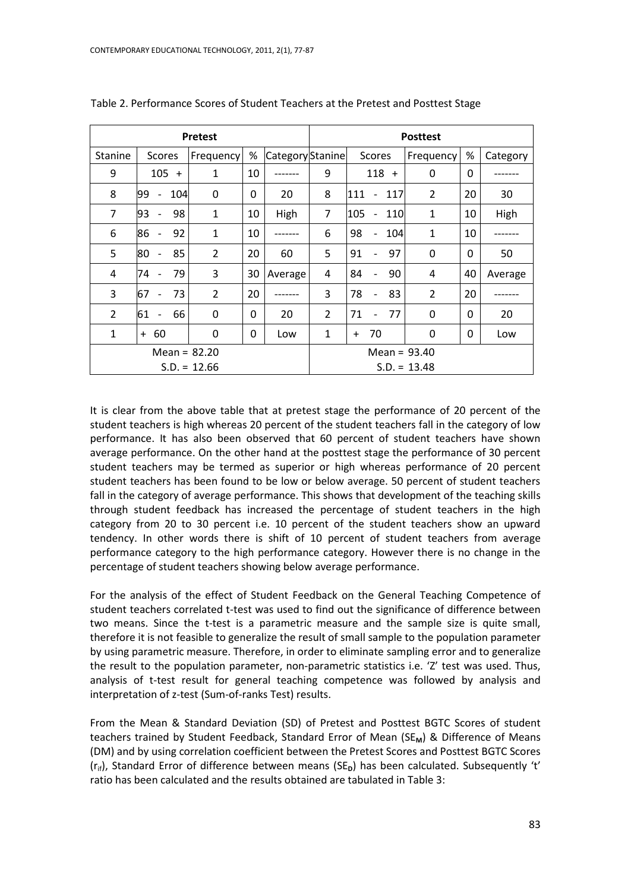| <b>Pretest</b> |                                |     |                |          |                  | <b>Posttest</b> |                                        |                |              |          |  |  |
|----------------|--------------------------------|-----|----------------|----------|------------------|-----------------|----------------------------------------|----------------|--------------|----------|--|--|
| <b>Stanine</b> | Scores                         |     | Frequency      | %        | Category Stanine |                 | Scores                                 | Frequency      | $\%$         | Category |  |  |
| 9              | 105<br>$\ddot{}$               |     | 1              | 10       |                  | 9               | 118<br>$+$                             | 0              | 0            |          |  |  |
| 8              | 99<br>$\qquad \qquad -$        | 104 | $\Omega$       | 0        | 20               | 8               | 111<br>117<br>$\overline{\phantom{a}}$ | 2              | 20           | 30       |  |  |
| 7              | 93<br>$\overline{a}$           | 98  | 1              | 10       | High             | 7               | 105<br>110<br>$\overline{\phantom{a}}$ | $\mathbf{1}$   | 10           | High     |  |  |
| 6              | 86<br>$\overline{a}$           | 92  | $\mathbf{1}$   | 10       |                  | 6               | 98<br>104<br>$\overline{\phantom{a}}$  | $\mathbf{1}$   | 10           |          |  |  |
| 5              | 80<br>$\overline{a}$           | 85  | $\overline{2}$ | 20       | 60               | 5               | 91<br>97                               | 0              | 0            | 50       |  |  |
| 4              | 74<br>$\overline{a}$           | 79  | 3              | 30       | Average          | 4               | 84<br>90                               | 4              | 40           | Average  |  |  |
| 3              | 67<br>$\overline{\phantom{m}}$ | 73  | $\overline{2}$ | 20       |                  | 3               | 78<br>83<br>$\overline{\phantom{a}}$   | $\overline{2}$ | 20           |          |  |  |
| $\overline{2}$ | 61 -                           | 66  | $\mathbf 0$    | $\Omega$ | 20               | 2               | 71<br>77                               | $\Omega$       | $\mathbf{0}$ | 20       |  |  |
| 1              | 60<br>$+$                      |     | $\Omega$       | $\Omega$ | Low              | $\mathbf{1}$    | 70<br>$\ddot{}$                        | $\Omega$       | 0            | Low      |  |  |
|                | Mean = $82.20$                 |     |                |          |                  | Mean = $93.40$  |                                        |                |              |          |  |  |
|                | $S.D. = 12.66$                 |     |                |          |                  | $S.D. = 13.48$  |                                        |                |              |          |  |  |

Table 2. Performance Scores of Student Teachers at the Pretest and Posttest Stage

It is clear from the above table that at pretest stage the performance of 20 percent of the student teachers is high whereas 20 percent of the student teachers fall in the category of low performance. It has also been observed that 60 percent of student teachers have shown average performance. On the other hand at the posttest stage the performance of 30 percent student teachers may be termed as superior or high whereas performance of 20 percent student teachers has been found to be low or below average. 50 percent of student teachers fall in the category of average performance. This shows that development of the teaching skills through student feedback has increased the percentage of student teachers in the high category from 20 to 30 percent i.e. 10 percent of the student teachers show an upward tendency. In other words there is shift of 10 percent of student teachers from average performance category to the high performance category. However there is no change in the percentage of student teachers showing below average performance.

For the analysis of the effect of Student Feedback on the General Teaching Competence of student teachers correlated t-test was used to find out the significance of difference between two means. Since the t-test is a parametric measure and the sample size is quite small, therefore it is not feasible to generalize the result of small sample to the population parameter by using parametric measure. Therefore, in order to eliminate sampling error and to generalize the result to the population parameter, non-parametric statistics i.e. 'Z' test was used. Thus, analysis of t-test result for general teaching competence was followed by analysis and interpretation of z-test (Sum-of-ranks Test) results.

From the Mean & Standard Deviation (SD) of Pretest and Posttest BGTC Scores of student teachers trained by Student Feedback, Standard Error of Mean (SE<sub>M</sub>) & Difference of Means (DM) and by using correlation coefficient between the Pretest Scores and Posttest BGTC Scores (r<sub>if</sub>), Standard Error of difference between means (SE<sub>D</sub>) has been calculated. Subsequently 't' ratio has been calculated and the results obtained are tabulated in Table 3: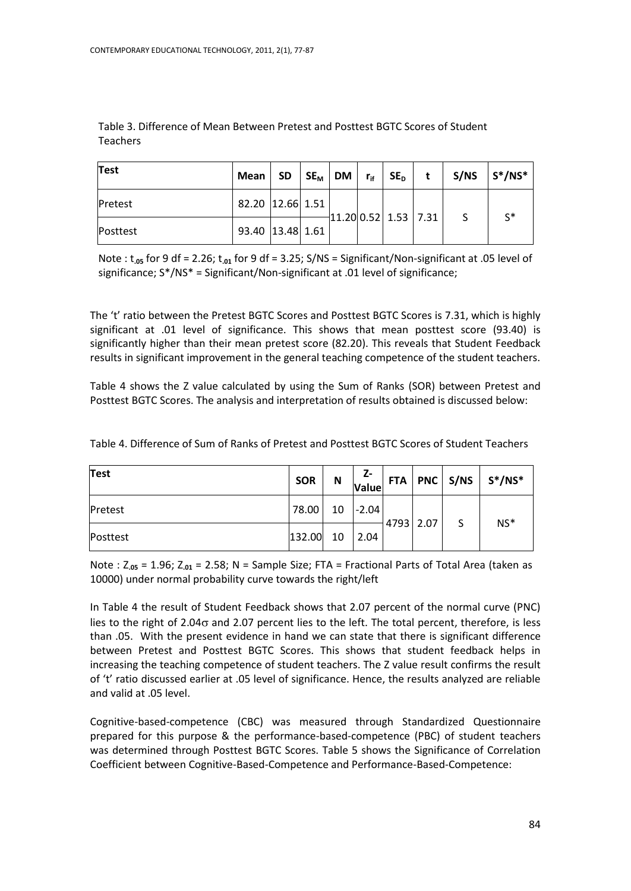| <b>Test</b> | Mean             | $SD \mid SE_{M} \mid$ | DM | $r_{if}$ | $SE_D$ | t                    | S/NS | $S^*/NS^*$     |
|-------------|------------------|-----------------------|----|----------|--------|----------------------|------|----------------|
| Pretest     | 82.20 12.66 1.51 |                       |    |          |        | 11.20 0.52 1.53 7.31 |      | $\mathsf{C}^*$ |
| Posttest    | 93.40 13.48 1.61 |                       |    |          |        |                      |      |                |

Table 3. Difference of Mean Between Pretest and Posttest BGTC Scores of Student Teachers

Note : t**.05** for 9 df = 2.26; t**.01** for 9 df = 3.25; S/NS = Significant/Non-significant at .05 level of significance; S\*/NS\* = Significant/Non-significant at .01 level of significance;

The 't' ratio between the Pretest BGTC Scores and Posttest BGTC Scores is 7.31, which is highly significant at .01 level of significance. This shows that mean posttest score (93.40) is significantly higher than their mean pretest score (82.20). This reveals that Student Feedback results in significant improvement in the general teaching competence of the student teachers.

Table 4 shows the Z value calculated by using the Sum of Ranks (SOR) between Pretest and Posttest BGTC Scores. The analysis and interpretation of results obtained is discussed below:

| Test     | <b>SOR</b> | N  | Z-<br>Value |           |   | FTA   PNC   S/NS   $S^*/NS^*$ |
|----------|------------|----|-------------|-----------|---|-------------------------------|
| Pretest  | 78.00      | 10 | $ -2.04 $   | 4793 2.07 | S | $NS*$                         |
| Posttest | 132.00     | 10 | 2.04        |           |   |                               |

Table 4. Difference of Sum of Ranks of Pretest and Posttest BGTC Scores of Student Teachers

Note : Z**.05** = 1.96; Z**.01** = 2.58; N = Sample Size; FTA = Fractional Parts of Total Area (taken as 10000) under normal probability curve towards the right/left

In Table 4 the result of Student Feedback shows that 2.07 percent of the normal curve (PNC) lies to the right of 2.04 $\sigma$  and 2.07 percent lies to the left. The total percent, therefore, is less than .05. With the present evidence in hand we can state that there is significant difference between Pretest and Posttest BGTC Scores. This shows that student feedback helps in increasing the teaching competence of student teachers. The Z value result confirms the result of 't' ratio discussed earlier at .05 level of significance. Hence, the results analyzed are reliable and valid at .05 level.

Cognitive-based-competence (CBC) was measured through Standardized Questionnaire prepared for this purpose & the performance-based-competence (PBC) of student teachers was determined through Posttest BGTC Scores. Table 5 shows the Significance of Correlation Coefficient between Cognitive-Based-Competence and Performance-Based-Competence: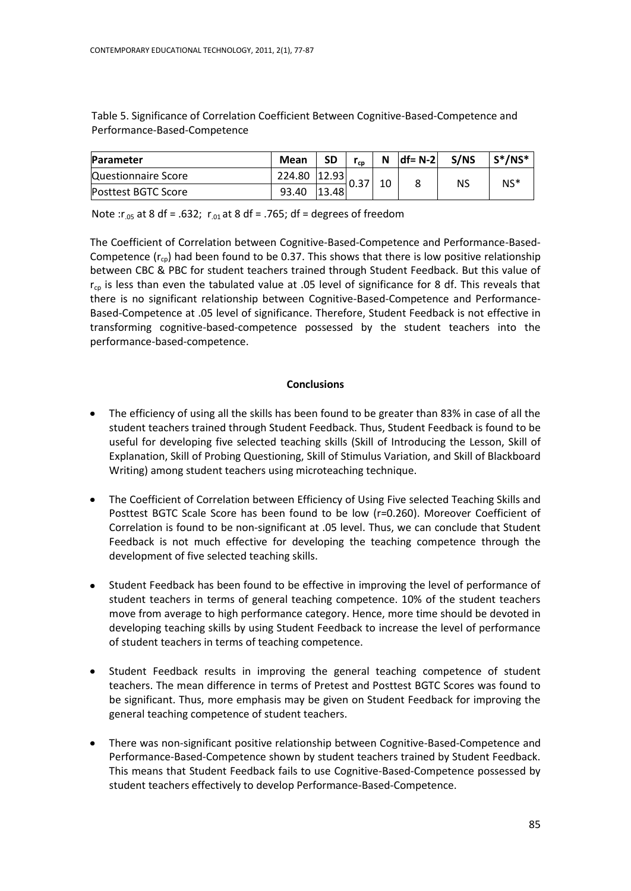Table 5. Significance of Correlation Coefficient Between Cognitive-Based-Competence and Performance-Based-Competence

| Parameter                  | Mean   | SD    | $r_{cp}$ | N  | $df = N-2$ | S/NS | $S^*/NS^*$ |
|----------------------------|--------|-------|----------|----|------------|------|------------|
| Questionnaire Score        | 224.80 | 12.93 |          | 10 |            | NS   | $NS*$      |
| <b>Posttest BGTC Score</b> | 93.40  | 13.48 |          |    |            |      |            |

Note :r<sub>.05</sub> at 8 df = .632; r<sub>.01</sub> at 8 df = .765; df = degrees of freedom

The Coefficient of Correlation between Cognitive-Based-Competence and Performance-Based-Competence  $(r_{\text{cn}})$  had been found to be 0.37. This shows that there is low positive relationship between CBC & PBC for student teachers trained through Student Feedback. But this value of  $r_{cp}$  is less than even the tabulated value at .05 level of significance for 8 df. This reveals that there is no significant relationship between Cognitive-Based-Competence and Performance-Based-Competence at .05 level of significance. Therefore, Student Feedback is not effective in transforming cognitive-based-competence possessed by the student teachers into the performance-based-competence.

# **Conclusions**

- The efficiency of using all the skills has been found to be greater than 83% in case of all the student teachers trained through Student Feedback. Thus, Student Feedback is found to be useful for developing five selected teaching skills (Skill of Introducing the Lesson, Skill of Explanation, Skill of Probing Questioning, Skill of Stimulus Variation, and Skill of Blackboard Writing) among student teachers using microteaching technique.
- $\bullet$ The Coefficient of Correlation between Efficiency of Using Five selected Teaching Skills and Posttest BGTC Scale Score has been found to be low (r=0.260). Moreover Coefficient of Correlation is found to be non-significant at .05 level. Thus, we can conclude that Student Feedback is not much effective for developing the teaching competence through the development of five selected teaching skills.
- Student Feedback has been found to be effective in improving the level of performance of student teachers in terms of general teaching competence. 10% of the student teachers move from average to high performance category. Hence, more time should be devoted in developing teaching skills by using Student Feedback to increase the level of performance of student teachers in terms of teaching competence.
- $\bullet$ Student Feedback results in improving the general teaching competence of student teachers. The mean difference in terms of Pretest and Posttest BGTC Scores was found to be significant. Thus, more emphasis may be given on Student Feedback for improving the general teaching competence of student teachers.
- There was non-significant positive relationship between Cognitive-Based-Competence and  $\bullet$ Performance-Based-Competence shown by student teachers trained by Student Feedback. This means that Student Feedback fails to use Cognitive-Based-Competence possessed by student teachers effectively to develop Performance-Based-Competence.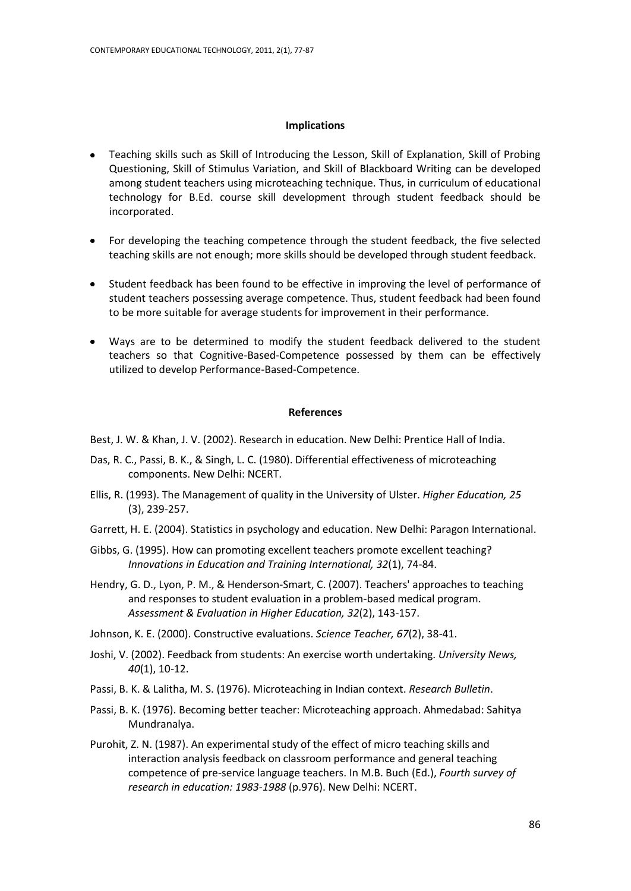#### **Implications**

- Teaching skills such as Skill of Introducing the Lesson, Skill of Explanation, Skill of Probing Questioning, Skill of Stimulus Variation, and Skill of Blackboard Writing can be developed among student teachers using microteaching technique. Thus, in curriculum of educational technology for B.Ed. course skill development through student feedback should be incorporated.
- For developing the teaching competence through the student feedback, the five selected  $\bullet$ teaching skills are not enough; more skills should be developed through student feedback.
- Student feedback has been found to be effective in improving the level of performance of student teachers possessing average competence. Thus, student feedback had been found to be more suitable for average students for improvement in their performance.
- Ways are to be determined to modify the student feedback delivered to the student teachers so that Cognitive-Based-Competence possessed by them can be effectively utilized to develop Performance-Based-Competence.

#### **References**

Best, J. W. & Khan, J. V. (2002). Research in education. New Delhi: Prentice Hall of India.

- Das, R. C., Passi, B. K., & Singh, L. C. (1980). Differential effectiveness of microteaching components. New Delhi: NCERT.
- Ellis, R. (1993). The Management of quality in the University of Ulster. *Higher Education, 25* (3), 239-257.
- Garrett, H. E. (2004). Statistics in psychology and education. New Delhi: Paragon International.
- Gibbs, G. (1995). How can promoting excellent teachers promote excellent teaching? *Innovations in Education and Training International, 32*(1), 74-84.
- Hendry, G. D., Lyon, P. M., & Henderson-Smart, C. (2007). Teachers' approaches to teaching and responses to student evaluation in a problem-based medical program. *Assessment & Evaluation in Higher Education, 32*(2), 143-157.
- Johnson, K. E. (2000). Constructive evaluations. *Science Teacher, 67*(2), 38-41.
- Joshi, V. (2002). Feedback from students: An exercise worth undertaking. *University News, 40*(1), 10-12.
- Passi, B. K. & Lalitha, M. S. (1976). Microteaching in Indian context. *Research Bulletin*.
- Passi, B. K. (1976). Becoming better teacher: Microteaching approach. Ahmedabad: Sahitya Mundranalya.
- Purohit, Z. N. (1987). An experimental study of the effect of micro teaching skills and interaction analysis feedback on classroom performance and general teaching competence of pre-service language teachers. In M.B. Buch (Ed.), *Fourth survey of research in education: 1983-1988* (p.976). New Delhi: NCERT.